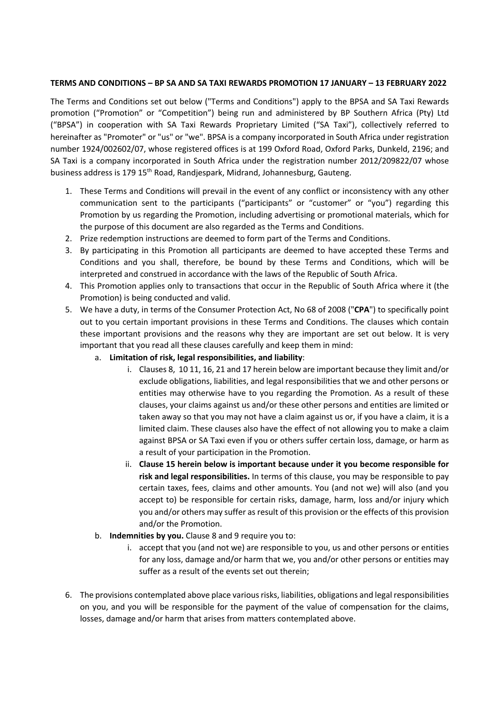## **TERMS AND CONDITIONS – BP SA AND SA TAXI REWARDS PROMOTION 17 JANUARY – 13 FEBRUARY 2022**

The Terms and Conditions set out below ("Terms and Conditions") apply to the BPSA and SA Taxi Rewards promotion ("Promotion" or "Competition") being run and administered by BP Southern Africa (Pty) Ltd ("BPSA") in cooperation with SA Taxi Rewards Proprietary Limited ("SA Taxi"), collectively referred to hereinafter as "Promoter" or "us" or "we". BPSA is a company incorporated in South Africa under registration number 1924/002602/07, whose registered offices is at 199 Oxford Road, Oxford Parks, Dunkeld, 2196; and SA Taxi is a company incorporated in South Africa under the registration number 2012/209822/07 whose business address is 179 15<sup>th</sup> Road, Randjespark, Midrand, Johannesburg, Gauteng.

- 1. These Terms and Conditions will prevail in the event of any conflict or inconsistency with any other communication sent to the participants ("participants" or "customer" or "you") regarding this Promotion by us regarding the Promotion, including advertising or promotional materials, which for the purpose of this document are also regarded as the Terms and Conditions.
- 2. Prize redemption instructions are deemed to form part of the Terms and Conditions.
- 3. By participating in this Promotion all participants are deemed to have accepted these Terms and Conditions and you shall, therefore, be bound by these Terms and Conditions, which will be interpreted and construed in accordance with the laws of the Republic of South Africa.
- 4. This Promotion applies only to transactions that occur in the Republic of South Africa where it (the Promotion) is being conducted and valid.
- 5. We have a duty, in terms of the Consumer Protection Act, No 68 of 2008 ("**CPA**") to specifically point out to you certain important provisions in these Terms and Conditions. The clauses which contain these important provisions and the reasons why they are important are set out below. It is very important that you read all these clauses carefully and keep them in mind:
	- a. **Limitation of risk, legal responsibilities, and liability**:
		- i. Clauses 8, 10 11, 16, 21 and 17 herein below are important because they limit and/or exclude obligations, liabilities, and legal responsibilities that we and other persons or entities may otherwise have to you regarding the Promotion. As a result of these clauses, your claims against us and/or these other persons and entities are limited or taken away so that you may not have a claim against us or, if you have a claim, it is a limited claim. These clauses also have the effect of not allowing you to make a claim against BPSA or SA Taxi even if you or others suffer certain loss, damage, or harm as a result of your participation in the Promotion.
		- ii. **Clause 15 herein below is important because under it you become responsible for risk and legal responsibilities.** In terms of this clause, you may be responsible to pay certain taxes, fees, claims and other amounts. You (and not we) will also (and you accept to) be responsible for certain risks, damage, harm, loss and/or injury which you and/or others may suffer as result of this provision or the effects of this provision and/or the Promotion.
	- b. **Indemnities by you.** Clause 8 and 9 require you to:
		- i. accept that you (and not we) are responsible to you, us and other persons or entities for any loss, damage and/or harm that we, you and/or other persons or entities may suffer as a result of the events set out therein;
- 6. The provisions contemplated above place various risks, liabilities, obligations and legal responsibilities on you, and you will be responsible for the payment of the value of compensation for the claims, losses, damage and/or harm that arises from matters contemplated above.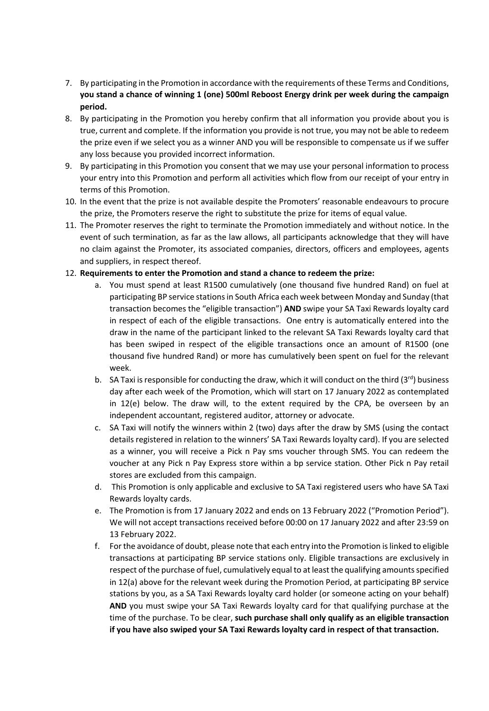- 7. By participating in the Promotion in accordance with the requirements of these Terms and Conditions, **you stand a chance of winning 1 (one) 500ml Reboost Energy drink per week during the campaign period.**
- 8. By participating in the Promotion you hereby confirm that all information you provide about you is true, current and complete. If the information you provide is not true, you may not be able to redeem the prize even if we select you as a winner AND you will be responsible to compensate us if we suffer any loss because you provided incorrect information.
- 9. By participating in this Promotion you consent that we may use your personal information to process your entry into this Promotion and perform all activities which flow from our receipt of your entry in terms of this Promotion.
- 10. In the event that the prize is not available despite the Promoters' reasonable endeavours to procure the prize, the Promoters reserve the right to substitute the prize for items of equal value.
- 11. The Promoter reserves the right to terminate the Promotion immediately and without notice. In the event of such termination, as far as the law allows, all participants acknowledge that they will have no claim against the Promoter, its associated companies, directors, officers and employees, agents and suppliers, in respect thereof.

## 12. **Requirements to enter the Promotion and stand a chance to redeem the prize:**

- a. You must spend at least R1500 cumulatively (one thousand five hundred Rand) on fuel at participating BP service stations in South Africa each week between Monday and Sunday (that transaction becomes the "eligible transaction") **AND** swipe your SA Taxi Rewards loyalty card in respect of each of the eligible transactions. One entry is automatically entered into the draw in the name of the participant linked to the relevant SA Taxi Rewards loyalty card that has been swiped in respect of the eligible transactions once an amount of R1500 (one thousand five hundred Rand) or more has cumulatively been spent on fuel for the relevant week.
- b. SA Taxi is responsible for conducting the draw, which it will conduct on the third  $(3<sup>rd</sup>)$  business day after each week of the Promotion, which will start on 17 January 2022 as contemplated in 12(e) below. The draw will, to the extent required by the CPA, be overseen by an independent accountant, registered auditor, attorney or advocate.
- c. SA Taxi will notify the winners within 2 (two) days after the draw by SMS (using the contact details registered in relation to the winners' SA Taxi Rewards loyalty card). If you are selected as a winner, you will receive a Pick n Pay sms voucher through SMS. You can redeem the voucher at any Pick n Pay Express store within a bp service station. Other Pick n Pay retail stores are excluded from this campaign.
- d. This Promotion is only applicable and exclusive to SA Taxi registered users who have SA Taxi Rewards loyalty cards.
- e. The Promotion is from 17 January 2022 and ends on 13 February 2022 ("Promotion Period"). We will not accept transactions received before 00:00 on 17 January 2022 and after 23:59 on 13 February 2022.
- f. For the avoidance of doubt, please note that each entry into the Promotion is linked to eligible transactions at participating BP service stations only. Eligible transactions are exclusively in respect of the purchase of fuel, cumulatively equal to at least the qualifying amounts specified in 12(a) above for the relevant week during the Promotion Period, at participating BP service stations by you, as a SA Taxi Rewards loyalty card holder (or someone acting on your behalf) **AND** you must swipe your SA Taxi Rewards loyalty card for that qualifying purchase at the time of the purchase. To be clear, **such purchase shall only qualify as an eligible transaction if you have also swiped your SA Taxi Rewards loyalty card in respect of that transaction.**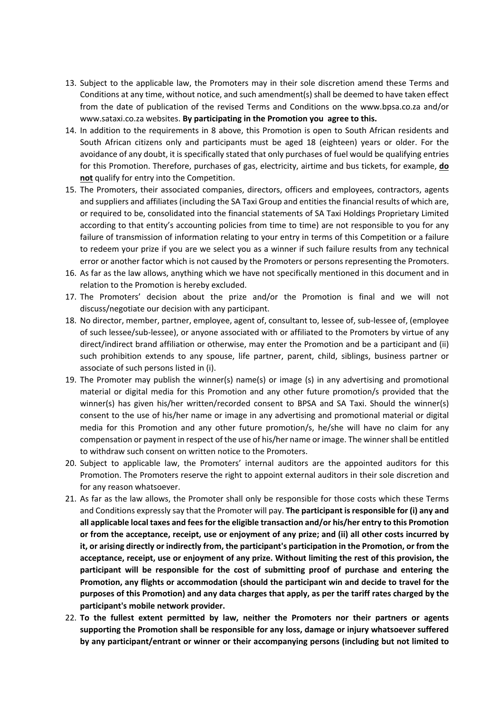- 13. Subject to the applicable law, the Promoters may in their sole discretion amend these Terms and Conditions at any time, without notice, and such amendment(s) shall be deemed to have taken effect from the date of publication of the revised Terms and Conditions on the www.bpsa.co.za and/or www.sataxi.co.za websites. **By participating in the Promotion you agree to this.**
- 14. In addition to the requirements in 8 above, this Promotion is open to South African residents and South African citizens only and participants must be aged 18 (eighteen) years or older. For the avoidance of any doubt, it is specifically stated that only purchases of fuel would be qualifying entries for this Promotion. Therefore, purchases of gas, electricity, airtime and bus tickets, for example, **do not** qualify for entry into the Competition.
- 15. The Promoters, their associated companies, directors, officers and employees, contractors, agents and suppliers and affiliates (including the SA Taxi Group and entities the financial results of which are, or required to be, consolidated into the financial statements of SA Taxi Holdings Proprietary Limited according to that entity's accounting policies from time to time) are not responsible to you for any failure of transmission of information relating to your entry in terms of this Competition or a failure to redeem your prize if you are we select you as a winner if such failure results from any technical error or another factor which is not caused by the Promoters or persons representing the Promoters.
- 16. As far as the law allows, anything which we have not specifically mentioned in this document and in relation to the Promotion is hereby excluded.
- 17. The Promoters' decision about the prize and/or the Promotion is final and we will not discuss/negotiate our decision with any participant.
- 18. No director, member, partner, employee, agent of, consultant to, lessee of, sub-lessee of, (employee of such lessee/sub-lessee), or anyone associated with or affiliated to the Promoters by virtue of any direct/indirect brand affiliation or otherwise, may enter the Promotion and be a participant and (ii) such prohibition extends to any spouse, life partner, parent, child, siblings, business partner or associate of such persons listed in (i).
- 19. The Promoter may publish the winner(s) name(s) or image (s) in any advertising and promotional material or digital media for this Promotion and any other future promotion/s provided that the winner(s) has given his/her written/recorded consent to BPSA and SA Taxi. Should the winner(s) consent to the use of his/her name or image in any advertising and promotional material or digital media for this Promotion and any other future promotion/s, he/she will have no claim for any compensation or payment in respect of the use of his/her name or image. The winner shall be entitled to withdraw such consent on written notice to the Promoters.
- 20. Subject to applicable law, the Promoters' internal auditors are the appointed auditors for this Promotion. The Promoters reserve the right to appoint external auditors in their sole discretion and for any reason whatsoever.
- 21. As far as the law allows, the Promoter shall only be responsible for those costs which these Terms and Conditions expressly say that the Promoter will pay. **The participant is responsible for (i) any and all applicable local taxes and feesfor the eligible transaction and/or his/her entry to this Promotion or from the acceptance, receipt, use or enjoyment of any prize; and (ii) all other costs incurred by it, or arising directly or indirectly from, the participant's participation in the Promotion, or from the acceptance, receipt, use or enjoyment of any prize. Without limiting the rest of this provision, the participant will be responsible for the cost of submitting proof of purchase and entering the Promotion, any flights or accommodation (should the participant win and decide to travel for the purposes of this Promotion) and any data charges that apply, as per the tariff rates charged by the participant's mobile network provider.**
- 22. **To the fullest extent permitted by law, neither the Promoters nor their partners or agents supporting the Promotion shall be responsible for any loss, damage or injury whatsoever suffered by any participant/entrant or winner or their accompanying persons (including but not limited to**